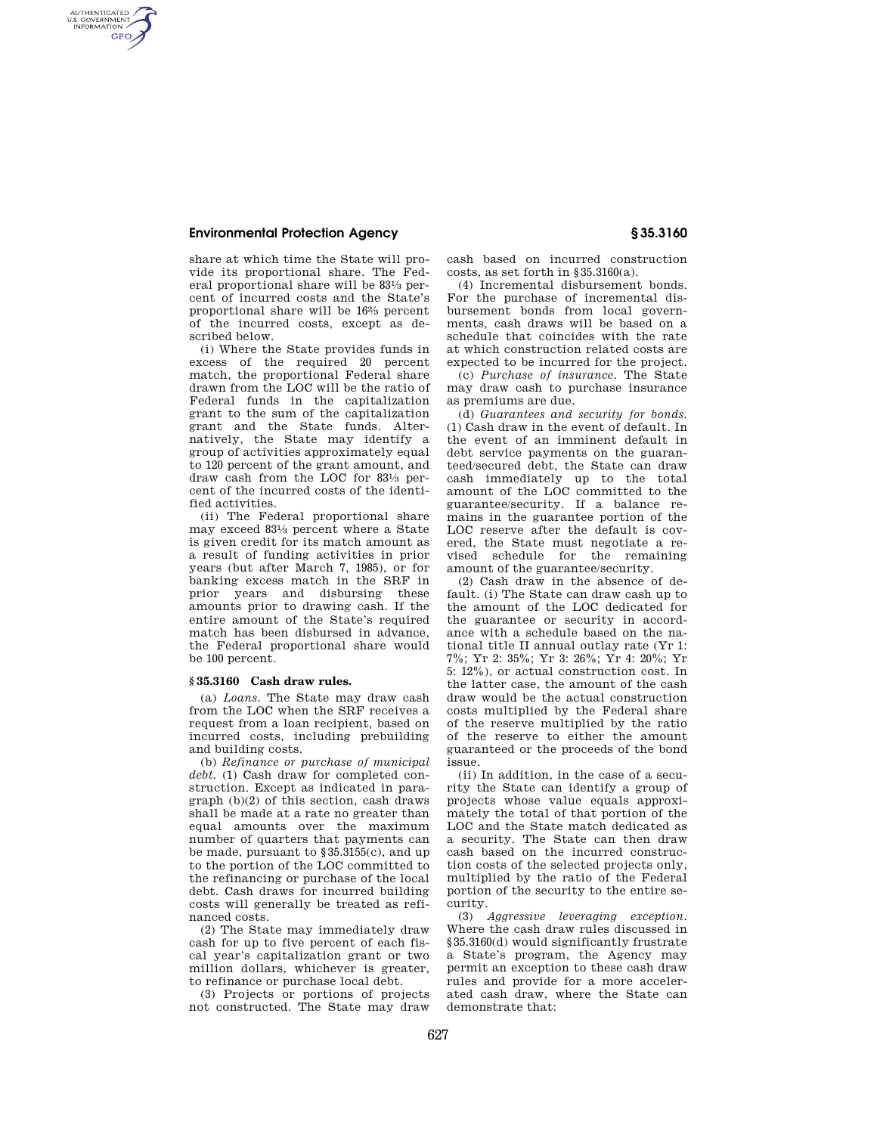## **Environmental Protection Agency § 35.3160**

AUTHENTICATED<br>U.S. GOVERNMENT<br>INFORMATION **GPO** 

> share at which time the State will provide its proportional share. The Federal proportional share will be 831⁄3 percent of incurred costs and the State's proportional share will be 162⁄3 percent of the incurred costs, except as described below.

> (i) Where the State provides funds in excess of the required 20 percent match, the proportional Federal share drawn from the LOC will be the ratio of Federal funds in the capitalization grant to the sum of the capitalization grant and the State funds. Alternatively, the State may identify a group of activities approximately equal to 120 percent of the grant amount, and draw cash from the LOC for 831⁄3 percent of the incurred costs of the identified activities.

> (ii) The Federal proportional share may exceed 831⁄3 percent where a State is given credit for its match amount as a result of funding activities in prior years (but after March 7, 1985), or for banking excess match in the SRF in prior years and disbursing these amounts prior to drawing cash. If the entire amount of the State's required match has been disbursed in advance, the Federal proportional share would be 100 percent.

## **§ 35.3160 Cash draw rules.**

(a) *Loans.* The State may draw cash from the LOC when the SRF receives a request from a loan recipient, based on incurred costs, including prebuilding and building costs.

(b) *Refinance or purchase of municipal debt.* (1) Cash draw for completed construction. Except as indicated in paragraph (b)(2) of this section, cash draws shall be made at a rate no greater than equal amounts over the maximum number of quarters that payments can be made, pursuant to §35.3155(c), and up to the portion of the LOC committed to the refinancing or purchase of the local debt. Cash draws for incurred building costs will generally be treated as refinanced costs.

(2) The State may immediately draw cash for up to five percent of each fiscal year's capitalization grant or two million dollars, whichever is greater, to refinance or purchase local debt.

(3) Projects or portions of projects not constructed. The State may draw cash based on incurred construction costs, as set forth in §35.3160(a).

(4) Incremental disbursement bonds. For the purchase of incremental disbursement bonds from local governments, cash draws will be based on a schedule that coincides with the rate at which construction related costs are expected to be incurred for the project.

(c) *Purchase of insurance.* The State may draw cash to purchase insurance as premiums are due.

(d) *Guarantees and security for bonds.*  (1) Cash draw in the event of default. In the event of an imminent default in debt service payments on the guaranteed/secured debt, the State can draw cash immediately up to the total amount of the LOC committed to the guarantee/security. If a balance remains in the guarantee portion of the LOC reserve after the default is covered, the State must negotiate a revised schedule for the remaining amount of the guarantee/security.

(2) Cash draw in the absence of default. (i) The State can draw cash up to the amount of the LOC dedicated for the guarantee or security in accordance with a schedule based on the national title II annual outlay rate (Yr 1: 7%; Yr 2: 35%; Yr 3: 26%; Yr 4: 20%; Yr 5: 12%), or actual construction cost. In the latter case, the amount of the cash draw would be the actual construction costs multiplied by the Federal share of the reserve multiplied by the ratio of the reserve to either the amount guaranteed or the proceeds of the bond issue.

(ii) In addition, in the case of a security the State can identify a group of projects whose value equals approximately the total of that portion of the LOC and the State match dedicated as a security. The State can then draw cash based on the incurred construction costs of the selected projects only, multiplied by the ratio of the Federal portion of the security to the entire security.

(3) *Aggressive leveraging exception.*  Where the cash draw rules discussed in §35.3160(d) would significantly frustrate a State's program, the Agency may permit an exception to these cash draw rules and provide for a more accelerated cash draw, where the State can demonstrate that: